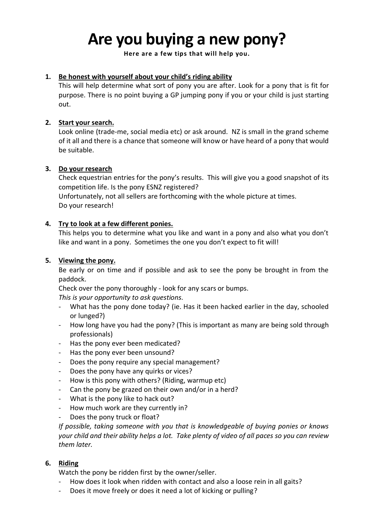# **Are you buying a new pony?**

**Here are a few tips that will help you.**

#### **1. Be honest with yourself about your child's riding ability**

This will help determine what sort of pony you are after. Look for a pony that is fit for purpose. There is no point buying a GP jumping pony if you or your child is just starting out.

#### **2. Start your search.**

Look online (trade-me, social media etc) or ask around. NZ is small in the grand scheme of it all and there is a chance that someone will know or have heard of a pony that would be suitable.

#### **3. Do your research**

Check equestrian entries for the pony's results. This will give you a good snapshot of its competition life. Is the pony ESNZ registered?

Unfortunately, not all sellers are forthcoming with the whole picture at times. Do your research!

#### **4. Try to look at a few different ponies.**

This helps you to determine what you like and want in a pony and also what you don't like and want in a pony. Sometimes the one you don't expect to fit will!

#### **5. Viewing the pony.**

Be early or on time and if possible and ask to see the pony be brought in from the paddock.

Check over the pony thoroughly - look for any scars or bumps.

*This is your opportunity to ask questions.* 

- What has the pony done today? (ie. Has it been hacked earlier in the day, schooled or lunged?)
- How long have you had the pony? (This is important as many are being sold through professionals)
- Has the pony ever been medicated?
- Has the pony ever been unsound?
- Does the pony require any special management?
- Does the pony have any quirks or vices?
- How is this pony with others? (Riding, warmup etc)
- Can the pony be grazed on their own and/or in a herd?
- What is the pony like to hack out?
- How much work are they currently in?
- Does the pony truck or float?

*If possible, taking someone with you that is knowledgeable of buying ponies or knows your child and their ability helps a lot. Take plenty of video of all paces so you can review them later.* 

### **6. Riding**

Watch the pony be ridden first by the owner/seller.

- How does it look when ridden with contact and also a loose rein in all gaits?
- Does it move freely or does it need a lot of kicking or pulling?